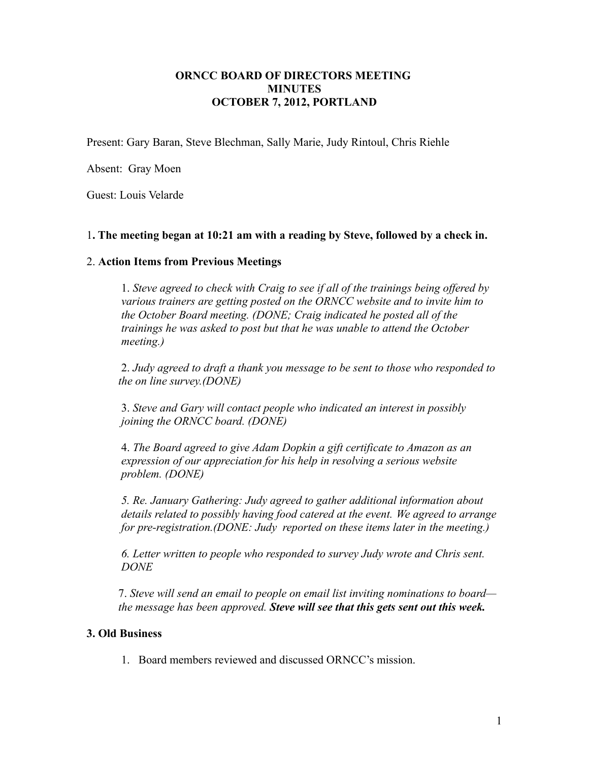## **ORNCC BOARD OF DIRECTORS MEETING MINUTES OCTOBER 7, 2012, PORTLAND**

Present: Gary Baran, Steve Blechman, Sally Marie, Judy Rintoul, Chris Riehle

Absent: Gray Moen

Guest: Louis Velarde

### 1**. The meeting began at 10:21 am with a reading by Steve, followed by a check in.**

### 2. **Action Items from Previous Meetings**

1. *Steve agreed to check with Craig to see if all of the trainings being offered by various trainers are getting posted on the ORNCC website and to invite him to the October Board meeting. (DONE; Craig indicated he posted all of the trainings he was asked to post but that he was unable to attend the October meeting.)*

2. *Judy agreed to draft a thank you message to be sent to those who responded to the on line survey.(DONE)*

3. *Steve and Gary will contact people who indicated an interest in possibly joining the ORNCC board. (DONE)*

4. *The Board agreed to give Adam Dopkin a gift certificate to Amazon as an expression of our appreciation for his help in resolving a serious website problem. (DONE)*

*5. Re. January Gathering: Judy agreed to gather additional information about details related to possibly having food catered at the event. We agreed to arrange for pre-registration.(DONE: Judy reported on these items later in the meeting.)*

*6. Letter written to people who responded to survey Judy wrote and Chris sent. DONE*

7. *Steve will send an email to people on email list inviting nominations to board the message has been approved. Steve will see that this gets sent out this week.*

### **3. Old Business**

1. Board members reviewed and discussed ORNCC's mission.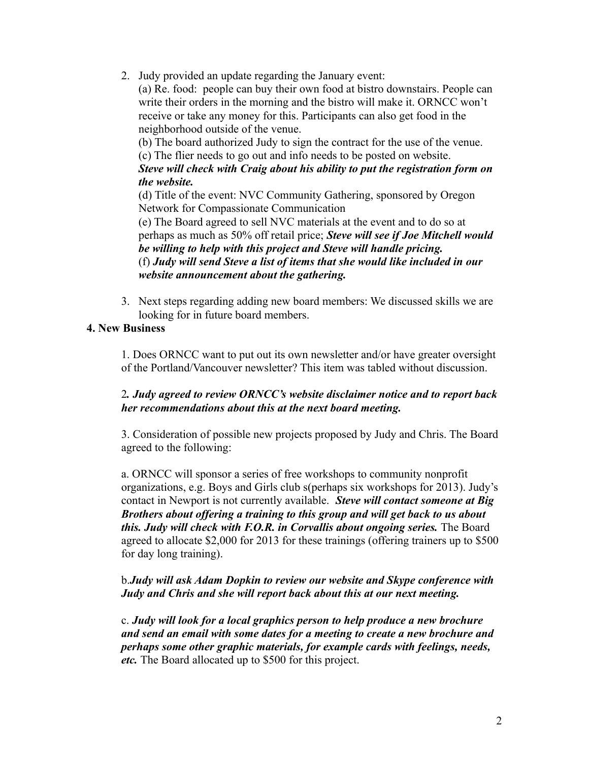2. Judy provided an update regarding the January event:

(a) Re. food: people can buy their own food at bistro downstairs. People can write their orders in the morning and the bistro will make it. ORNCC won't receive or take any money for this. Participants can also get food in the neighborhood outside of the venue.

(b) The board authorized Judy to sign the contract for the use of the venue. (c) The flier needs to go out and info needs to be posted on website. *Steve will check with Craig about his ability to put the registration form on the website.*

(d) Title of the event: NVC Community Gathering, sponsored by Oregon Network for Compassionate Communication

(e) The Board agreed to sell NVC materials at the event and to do so at perhaps as much as 50% off retail price; *Steve will see if Joe Mitchell would be willing to help with this project and Steve will handle pricing.* (f) *Judy will send Steve a list of items that she would like included in our website announcement about the gathering.*

3. Next steps regarding adding new board members: We discussed skills we are looking for in future board members.

# **4. New Business**

1. Does ORNCC want to put out its own newsletter and/or have greater oversight of the Portland/Vancouver newsletter? This item was tabled without discussion.

## 2*. Judy agreed to review ORNCC's website disclaimer notice and to report back her recommendations about this at the next board meeting.*

3. Consideration of possible new projects proposed by Judy and Chris. The Board agreed to the following:

a. ORNCC will sponsor a series of free workshops to community nonprofit organizations, e.g. Boys and Girls club s(perhaps six workshops for 2013). Judy's contact in Newport is not currently available. *Steve will contact someone at Big Brothers about offering a training to this group and will get back to us about this. Judy will check with F.O.R. in Corvallis about ongoing series.* The Board agreed to allocate \$2,000 for 2013 for these trainings (offering trainers up to \$500 for day long training).

# b.*Judy will ask Adam Dopkin to review our website and Skype conference with Judy and Chris and she will report back about this at our next meeting.*

c. *Judy will look for a local graphics person to help produce a new brochure and send an email with some dates for a meeting to create a new brochure and perhaps some other graphic materials, for example cards with feelings, needs, etc.* The Board allocated up to \$500 for this project.